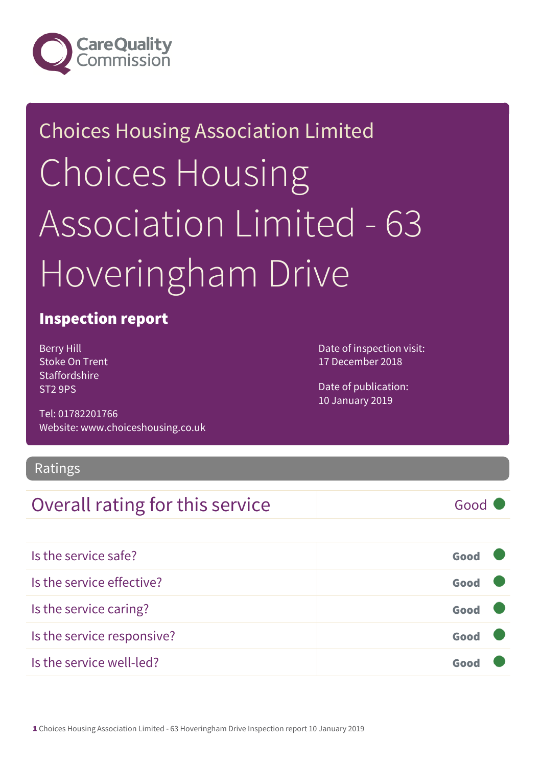

# Choices Housing Association Limited Choices Housing Association Limited - 63 Hoveringham Drive

#### Inspection report

Berry Hill Stoke On Trent **Staffordshire** ST2 9PS

Tel: 01782201766 Website: www.choiceshousing.co.uk Date of inspection visit: 17 December 2018

Date of publication: 10 January 2019

#### Ratings

#### Overall rating for this service Good

| Is the service safe?       | Good |  |
|----------------------------|------|--|
| Is the service effective?  | Good |  |
| Is the service caring?     | Good |  |
| Is the service responsive? | Good |  |
| Is the service well-led?   | Goo  |  |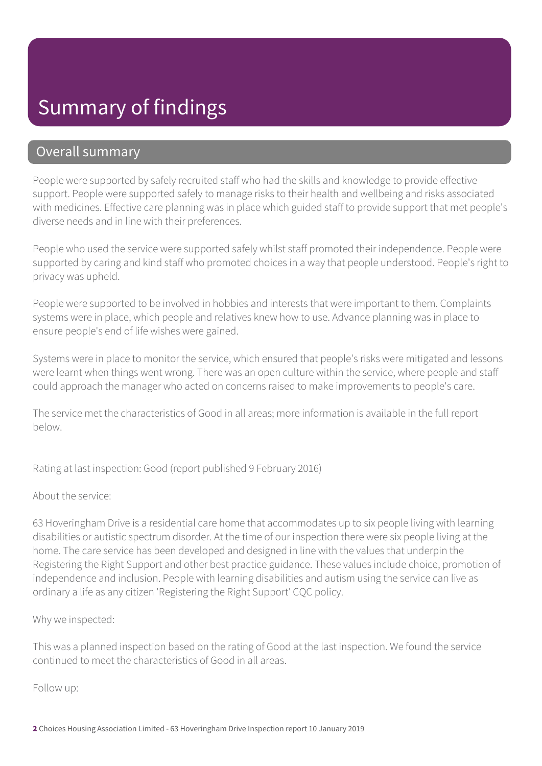#### Summary of findings

#### Overall summary

People were supported by safely recruited staff who had the skills and knowledge to provide effective support. People were supported safely to manage risks to their health and wellbeing and risks associated with medicines. Effective care planning was in place which guided staff to provide support that met people's diverse needs and in line with their preferences.

People who used the service were supported safely whilst staff promoted their independence. People were supported by caring and kind staff who promoted choices in a way that people understood. People's right to privacy was upheld.

People were supported to be involved in hobbies and interests that were important to them. Complaints systems were in place, which people and relatives knew how to use. Advance planning was in place to ensure people's end of life wishes were gained.

Systems were in place to monitor the service, which ensured that people's risks were mitigated and lessons were learnt when things went wrong. There was an open culture within the service, where people and staff could approach the manager who acted on concerns raised to make improvements to people's care.

The service met the characteristics of Good in all areas; more information is available in the full report below.

Rating at last inspection: Good (report published 9 February 2016)

About the service:

63 Hoveringham Drive is a residential care home that accommodates up to six people living with learning disabilities or autistic spectrum disorder. At the time of our inspection there were six people living at the home. The care service has been developed and designed in line with the values that underpin the Registering the Right Support and other best practice guidance. These values include choice, promotion of independence and inclusion. People with learning disabilities and autism using the service can live as ordinary a life as any citizen 'Registering the Right Support' CQC policy.

Why we inspected:

This was a planned inspection based on the rating of Good at the last inspection. We found the service continued to meet the characteristics of Good in all areas.

Follow up: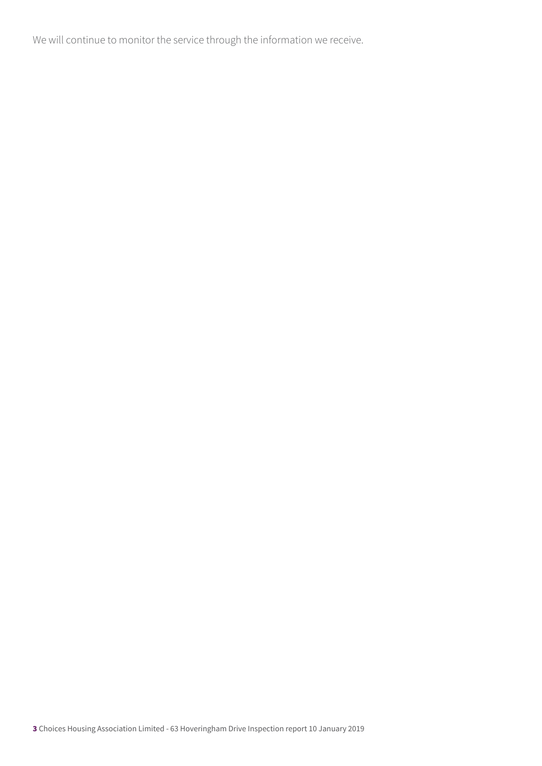We will continue to monitor the service through the information we receive.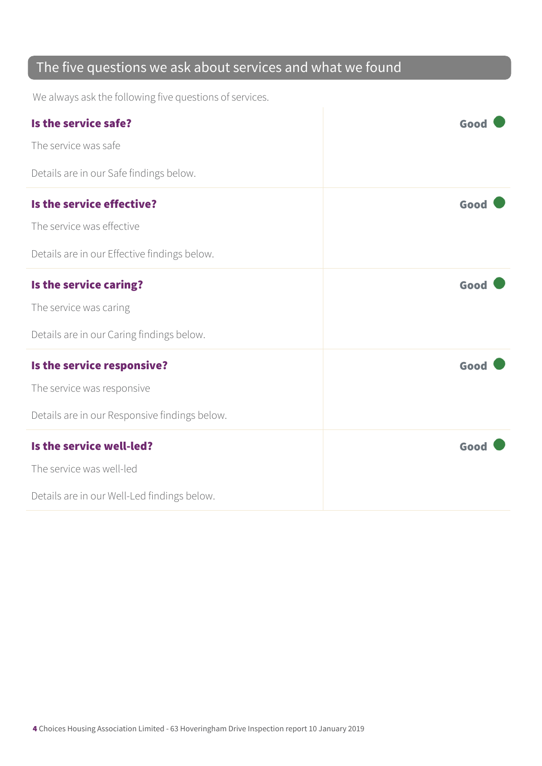#### The five questions we ask about services and what we found

We always ask the following five questions of services.

| Is the service safe?                          | Good |
|-----------------------------------------------|------|
| The service was safe                          |      |
| Details are in our Safe findings below.       |      |
| Is the service effective?                     | Good |
| The service was effective                     |      |
| Details are in our Effective findings below.  |      |
| Is the service caring?                        | Good |
| The service was caring                        |      |
| Details are in our Caring findings below.     |      |
| Is the service responsive?                    | Good |
| The service was responsive                    |      |
| Details are in our Responsive findings below. |      |
| Is the service well-led?                      | Good |
| The service was well-led                      |      |
| Details are in our Well-Led findings below.   |      |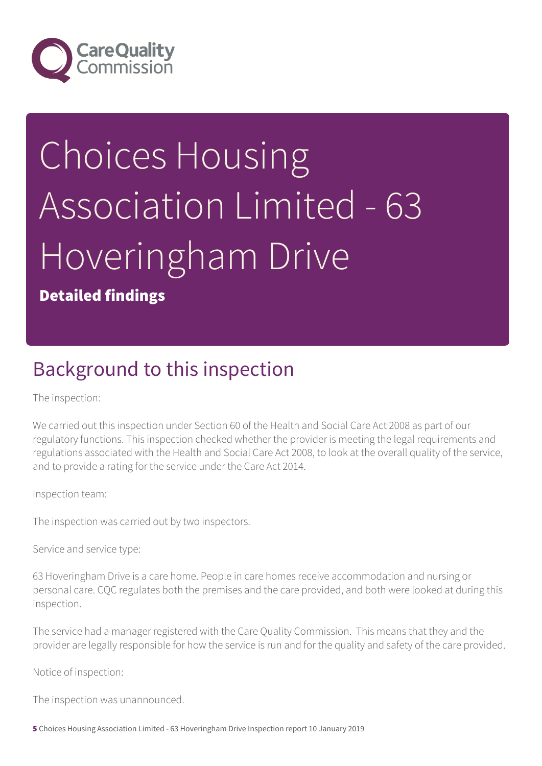

# Choices Housing Association Limited - 63 Hoveringham Drive

Detailed findings

### Background to this inspection

The inspection:

We carried out this inspection under Section 60 of the Health and Social Care Act 2008 as part of our regulatory functions. This inspection checked whether the provider is meeting the legal requirements and regulations associated with the Health and Social Care Act 2008, to look at the overall quality of the service, and to provide a rating for the service under the Care Act 2014.

Inspection team:

The inspection was carried out by two inspectors.

Service and service type:

63 Hoveringham Drive is a care home. People in care homes receive accommodation and nursing or personal care. CQC regulates both the premises and the care provided, and both were looked at during this inspection.

The service had a manager registered with the Care Quality Commission. This means that they and the provider are legally responsible for how the service is run and for the quality and safety of the care provided.

Notice of inspection:

The inspection was unannounced.

5 Choices Housing Association Limited - 63 Hoveringham Drive Inspection report 10 January 2019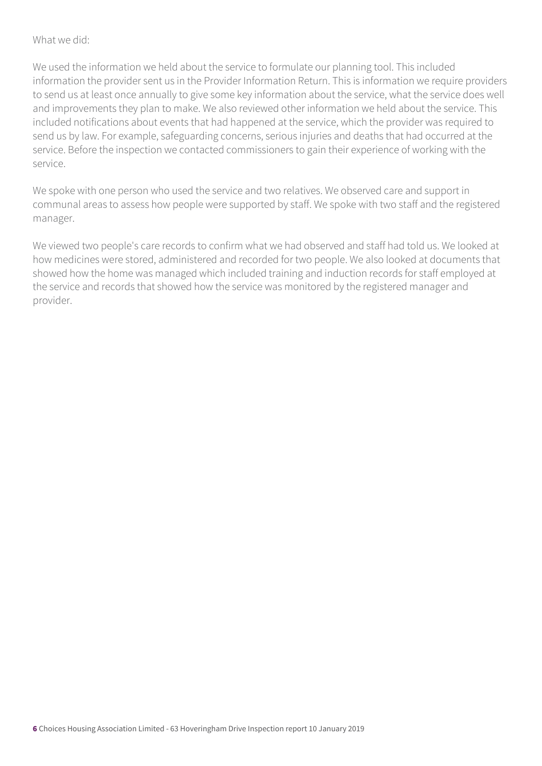#### What we did:

We used the information we held about the service to formulate our planning tool. This included information the provider sent us in the Provider Information Return. This is information we require providers to send us at least once annually to give some key information about the service, what the service does well and improvements they plan to make. We also reviewed other information we held about the service. This included notifications about events that had happened at the service, which the provider was required to send us by law. For example, safeguarding concerns, serious injuries and deaths that had occurred at the service. Before the inspection we contacted commissioners to gain their experience of working with the service.

We spoke with one person who used the service and two relatives. We observed care and support in communal areas to assess how people were supported by staff. We spoke with two staff and the registered manager.

We viewed two people's care records to confirm what we had observed and staff had told us. We looked at how medicines were stored, administered and recorded for two people. We also looked at documents that showed how the home was managed which included training and induction records for staff employed at the service and records that showed how the service was monitored by the registered manager and provider.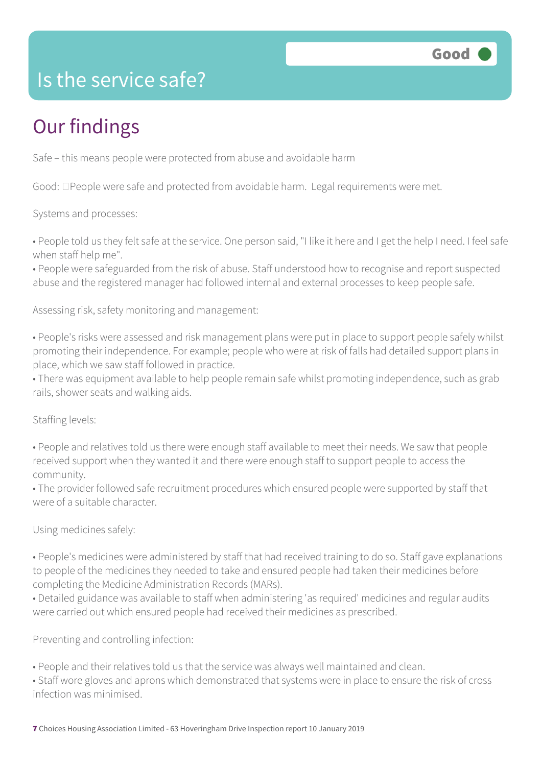

#### Is the service safe?

## Our findings

Safe – this means people were protected from abuse and avoidable harm

Good:  $\Box$  People were safe and protected from avoidable harm. Legal requirements were met.

Systems and processes:

• People told us they felt safe at the service. One person said, "I like it here and I get the help I need. I feel safe when staff help me".

• People were safeguarded from the risk of abuse. Staff understood how to recognise and report suspected abuse and the registered manager had followed internal and external processes to keep people safe.

Assessing risk, safety monitoring and management:

• People's risks were assessed and risk management plans were put in place to support people safely whilst promoting their independence. For example; people who were at risk of falls had detailed support plans in place, which we saw staff followed in practice.

• There was equipment available to help people remain safe whilst promoting independence, such as grab rails, shower seats and walking aids.

Staffing levels:

• People and relatives told us there were enough staff available to meet their needs. We saw that people received support when they wanted it and there were enough staff to support people to access the community.

• The provider followed safe recruitment procedures which ensured people were supported by staff that were of a suitable character.

Using medicines safely:

• People's medicines were administered by staff that had received training to do so. Staff gave explanations to people of the medicines they needed to take and ensured people had taken their medicines before completing the Medicine Administration Records (MARs).

• Detailed guidance was available to staff when administering 'as required' medicines and regular audits were carried out which ensured people had received their medicines as prescribed.

Preventing and controlling infection:

• People and their relatives told us that the service was always well maintained and clean.

• Staff wore gloves and aprons which demonstrated that systems were in place to ensure the risk of cross infection was minimised.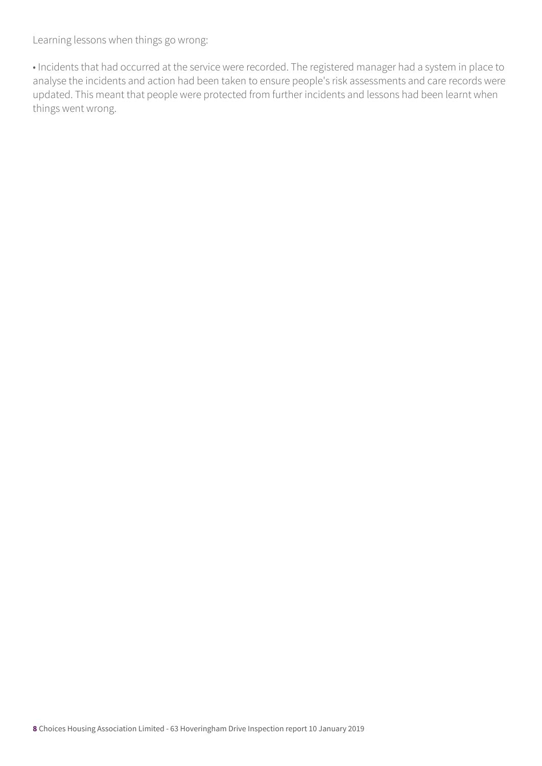Learning lessons when things go wrong:

• Incidents that had occurred at the service were recorded. The registered manager had a system in place to analyse the incidents and action had been taken to ensure people's risk assessments and care records were updated. This meant that people were protected from further incidents and lessons had been learnt when things went wrong.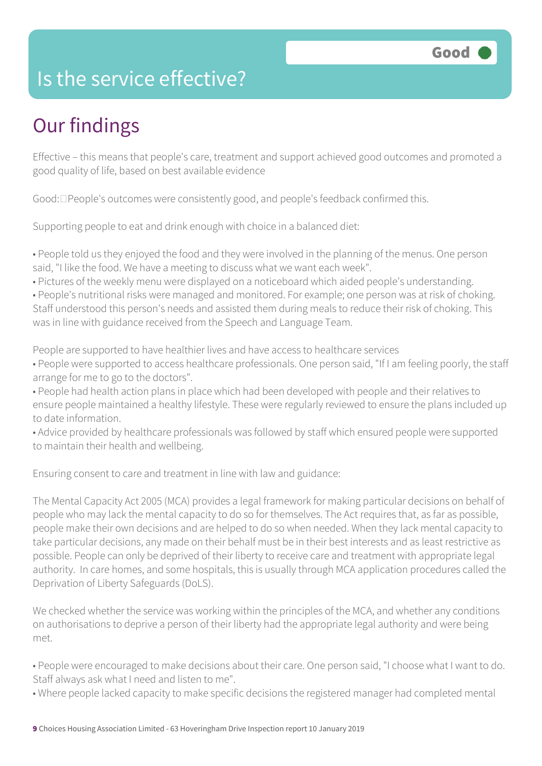#### Is the service effective?

## Our findings

Effective – this means that people's care, treatment and support achieved good outcomes and promoted a good quality of life, based on best available evidence

 $Good: \Box People's outcomes were consistently good, and people's feedback confirmed this.$ 

Supporting people to eat and drink enough with choice in a balanced diet:

• People told us they enjoyed the food and they were involved in the planning of the menus. One person said, "I like the food. We have a meeting to discuss what we want each week".

• Pictures of the weekly menu were displayed on a noticeboard which aided people's understanding.

• People's nutritional risks were managed and monitored. For example; one person was at risk of choking. Staff understood this person's needs and assisted them during meals to reduce their risk of choking. This was in line with guidance received from the Speech and Language Team.

People are supported to have healthier lives and have access to healthcare services

• People were supported to access healthcare professionals. One person said, "If I am feeling poorly, the staff arrange for me to go to the doctors".

• People had health action plans in place which had been developed with people and their relatives to ensure people maintained a healthy lifestyle. These were regularly reviewed to ensure the plans included up to date information.

• Advice provided by healthcare professionals was followed by staff which ensured people were supported to maintain their health and wellbeing.

Ensuring consent to care and treatment in line with law and guidance:

The Mental Capacity Act 2005 (MCA) provides a legal framework for making particular decisions on behalf of people who may lack the mental capacity to do so for themselves. The Act requires that, as far as possible, people make their own decisions and are helped to do so when needed. When they lack mental capacity to take particular decisions, any made on their behalf must be in their best interests and as least restrictive as possible. People can only be deprived of their liberty to receive care and treatment with appropriate legal authority. In care homes, and some hospitals, this is usually through MCA application procedures called the Deprivation of Liberty Safeguards (DoLS).

We checked whether the service was working within the principles of the MCA, and whether any conditions on authorisations to deprive a person of their liberty had the appropriate legal authority and were being met.

• People were encouraged to make decisions about their care. One person said, "I choose what I want to do. Staff always ask what I need and listen to me".

• Where people lacked capacity to make specific decisions the registered manager had completed mental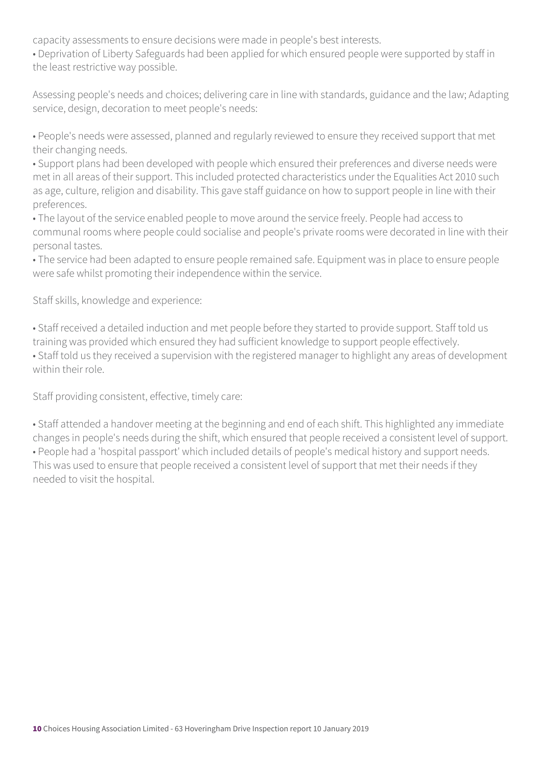capacity assessments to ensure decisions were made in people's best interests.

• Deprivation of Liberty Safeguards had been applied for which ensured people were supported by staff in the least restrictive way possible.

Assessing people's needs and choices; delivering care in line with standards, guidance and the law; Adapting service, design, decoration to meet people's needs:

• People's needs were assessed, planned and regularly reviewed to ensure they received support that met their changing needs.

• Support plans had been developed with people which ensured their preferences and diverse needs were met in all areas of their support. This included protected characteristics under the Equalities Act 2010 such as age, culture, religion and disability. This gave staff guidance on how to support people in line with their preferences.

• The layout of the service enabled people to move around the service freely. People had access to communal rooms where people could socialise and people's private rooms were decorated in line with their personal tastes.

• The service had been adapted to ensure people remained safe. Equipment was in place to ensure people were safe whilst promoting their independence within the service.

Staff skills, knowledge and experience:

• Staff received a detailed induction and met people before they started to provide support. Staff told us training was provided which ensured they had sufficient knowledge to support people effectively.

• Staff told us they received a supervision with the registered manager to highlight any areas of development within their role.

Staff providing consistent, effective, timely care:

• Staff attended a handover meeting at the beginning and end of each shift. This highlighted any immediate changes in people's needs during the shift, which ensured that people received a consistent level of support. • People had a 'hospital passport' which included details of people's medical history and support needs. This was used to ensure that people received a consistent level of support that met their needs if they needed to visit the hospital.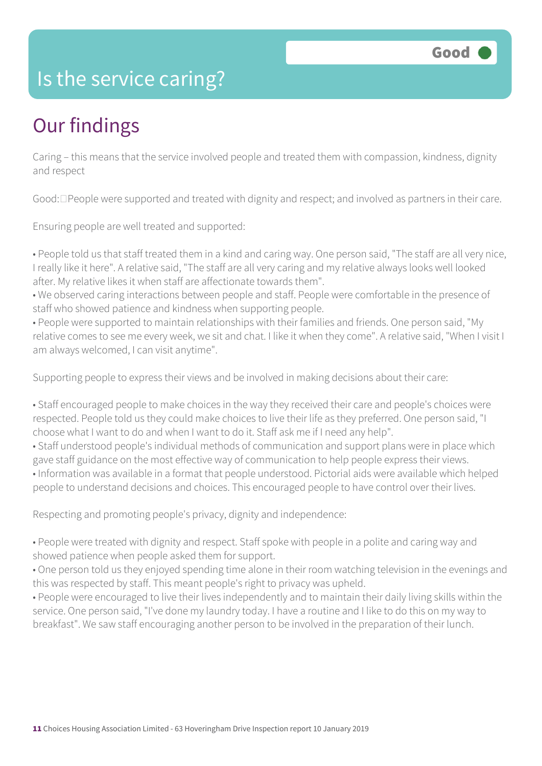#### Is the service caring?

## Our findings

Caring – this means that the service involved people and treated them with compassion, kindness, dignity and respect

Good:  $\Box$  People were supported and treated with dignity and respect; and involved as partners in their care.

Ensuring people are well treated and supported:

• People told us that staff treated them in a kind and caring way. One person said, "The staff are all very nice, I really like it here". A relative said, "The staff are all very caring and my relative always looks well looked after. My relative likes it when staff are affectionate towards them".

• We observed caring interactions between people and staff. People were comfortable in the presence of staff who showed patience and kindness when supporting people.

• People were supported to maintain relationships with their families and friends. One person said, "My relative comes to see me every week, we sit and chat. I like it when they come". A relative said, "When I visit I am always welcomed, I can visit anytime".

Supporting people to express their views and be involved in making decisions about their care:

• Staff encouraged people to make choices in the way they received their care and people's choices were respected. People told us they could make choices to live their life as they preferred. One person said, "I choose what I want to do and when I want to do it. Staff ask me if I need any help".

• Staff understood people's individual methods of communication and support plans were in place which gave staff guidance on the most effective way of communication to help people express their views. • Information was available in a format that people understood. Pictorial aids were available which helped people to understand decisions and choices. This encouraged people to have control over their lives.

Respecting and promoting people's privacy, dignity and independence:

• People were treated with dignity and respect. Staff spoke with people in a polite and caring way and showed patience when people asked them for support.

• One person told us they enjoyed spending time alone in their room watching television in the evenings and this was respected by staff. This meant people's right to privacy was upheld.

• People were encouraged to live their lives independently and to maintain their daily living skills within the service. One person said, "I've done my laundry today. I have a routine and I like to do this on my way to breakfast". We saw staff encouraging another person to be involved in the preparation of their lunch.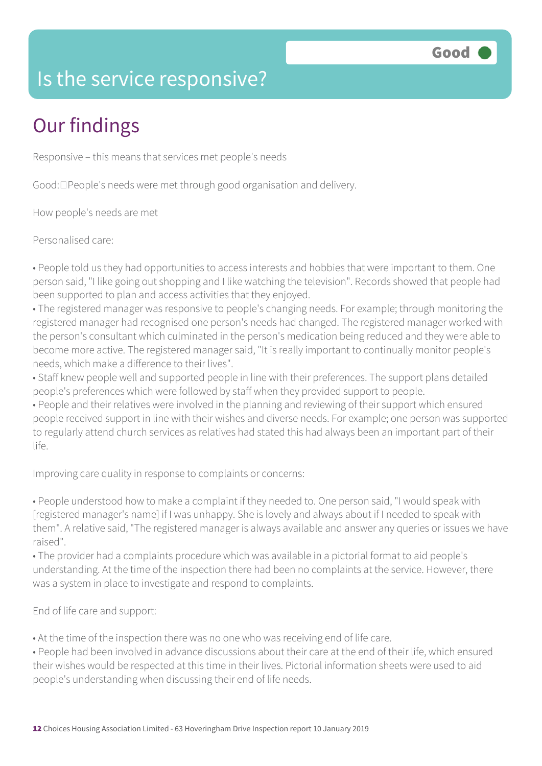#### Is the service responsive?

# Our findings

Responsive – this means that services met people's needs

Good:  $\Box$  People's needs were met through good organisation and delivery.

How people's needs are met

Personalised care:

• People told us they had opportunities to access interests and hobbies that were important to them. One person said, "I like going out shopping and I like watching the television". Records showed that people had been supported to plan and access activities that they enjoyed.

• The registered manager was responsive to people's changing needs. For example; through monitoring the registered manager had recognised one person's needs had changed. The registered manager worked with the person's consultant which culminated in the person's medication being reduced and they were able to become more active. The registered manager said, "It is really important to continually monitor people's needs, which make a difference to their lives".

• Staff knew people well and supported people in line with their preferences. The support plans detailed people's preferences which were followed by staff when they provided support to people.

• People and their relatives were involved in the planning and reviewing of their support which ensured people received support in line with their wishes and diverse needs. For example; one person was supported to regularly attend church services as relatives had stated this had always been an important part of their life.

Improving care quality in response to complaints or concerns:

• People understood how to make a complaint if they needed to. One person said, "I would speak with [registered manager's name] if I was unhappy. She is lovely and always about if I needed to speak with them". A relative said, "The registered manager is always available and answer any queries or issues we have raised".

• The provider had a complaints procedure which was available in a pictorial format to aid people's understanding. At the time of the inspection there had been no complaints at the service. However, there was a system in place to investigate and respond to complaints.

End of life care and support:

• At the time of the inspection there was no one who was receiving end of life care.

• People had been involved in advance discussions about their care at the end of their life, which ensured their wishes would be respected at this time in their lives. Pictorial information sheets were used to aid people's understanding when discussing their end of life needs.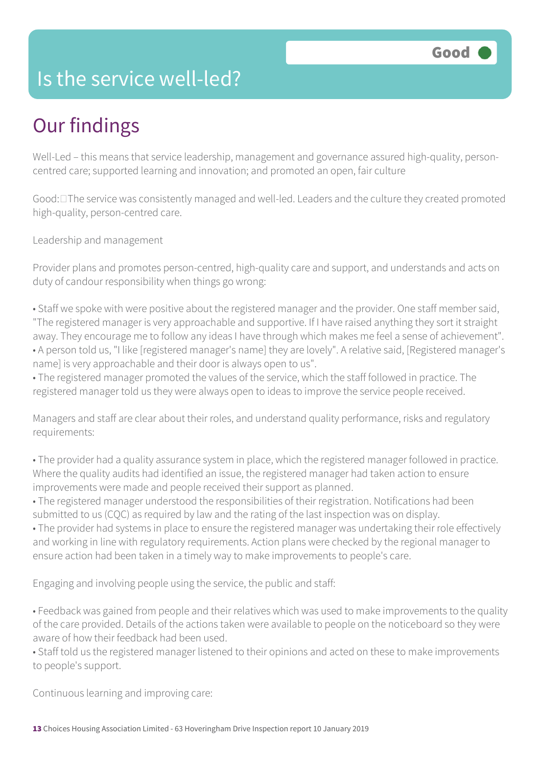#### Is the service well-led?

## Our findings

Well-Led – this means that service leadership, management and governance assured high-quality, personcentred care; supported learning and innovation; and promoted an open, fair culture

Good:  $\square$  The service was consistently managed and well-led. Leaders and the culture they created promoted high-quality, person-centred care.

Leadership and management

Provider plans and promotes person-centred, high-quality care and support, and understands and acts on duty of candour responsibility when things go wrong:

• Staff we spoke with were positive about the registered manager and the provider. One staff member said, "The registered manager is very approachable and supportive. If I have raised anything they sort it straight away. They encourage me to follow any ideas I have through which makes me feel a sense of achievement". • A person told us, "I like [registered manager's name] they are lovely". A relative said, [Registered manager's name] is very approachable and their door is always open to us".

• The registered manager promoted the values of the service, which the staff followed in practice. The registered manager told us they were always open to ideas to improve the service people received.

Managers and staff are clear about their roles, and understand quality performance, risks and regulatory requirements:

• The provider had a quality assurance system in place, which the registered manager followed in practice. Where the quality audits had identified an issue, the registered manager had taken action to ensure improvements were made and people received their support as planned.

• The registered manager understood the responsibilities of their registration. Notifications had been submitted to us (CQC) as required by law and the rating of the last inspection was on display.

• The provider had systems in place to ensure the registered manager was undertaking their role effectively and working in line with regulatory requirements. Action plans were checked by the regional manager to ensure action had been taken in a timely way to make improvements to people's care.

Engaging and involving people using the service, the public and staff:

• Feedback was gained from people and their relatives which was used to make improvements to the quality of the care provided. Details of the actions taken were available to people on the noticeboard so they were aware of how their feedback had been used.

• Staff told us the registered manager listened to their opinions and acted on these to make improvements to people's support.

Continuous learning and improving care: